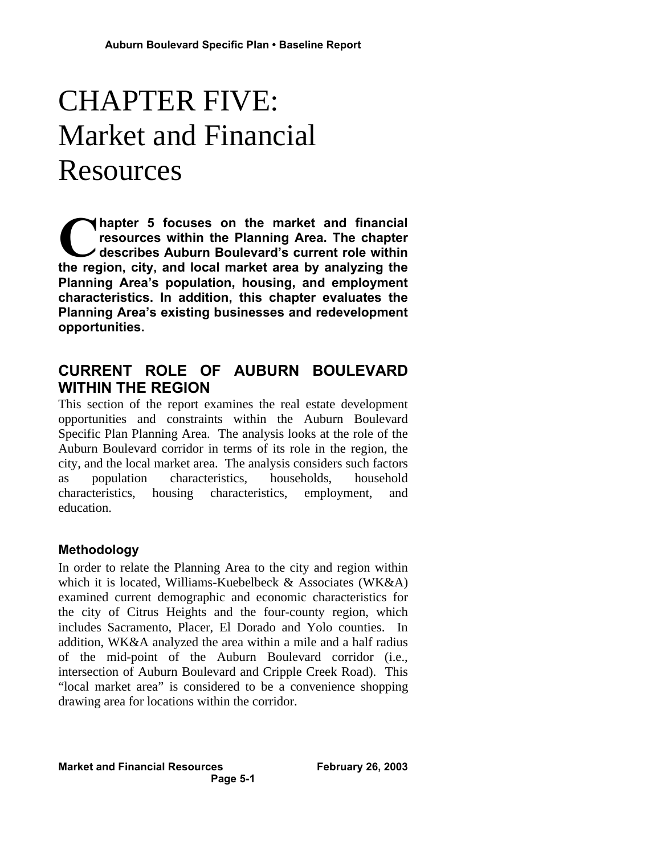# CHAPTER FIVE: Market and Financial Resources

**hapter 5 focuses on the market and financial resources within the Planning Area. The chapter describes Auburn Boulevard's current role within the region, city, and local market area by analyzing the region, city, and local market area by analyzing the Planning Area's population, housing, and employment characteristics. In addition, this chapter evaluates the Planning Area's existing businesses and redevelopment opportunities.**

# **CURRENT ROLE OF AUBURN BOULEVARD WITHIN THE REGION**

This section of the report examines the real estate development opportunities and constraints within the Auburn Boulevard Specific Plan Planning Area. The analysis looks at the role of the Auburn Boulevard corridor in terms of its role in the region, the city, and the local market area. The analysis considers such factors as population characteristics, households, household characteristics, housing characteristics, employment, and education.

# **Methodology**

In order to relate the Planning Area to the city and region within which it is located, Williams-Kuebelbeck & Associates (WK&A) examined current demographic and economic characteristics for the city of Citrus Heights and the four-county region, which includes Sacramento, Placer, El Dorado and Yolo counties. In addition, WK&A analyzed the area within a mile and a half radius of the mid-point of the Auburn Boulevard corridor (i.e., intersection of Auburn Boulevard and Cripple Creek Road). This "local market area" is considered to be a convenience shopping drawing area for locations within the corridor.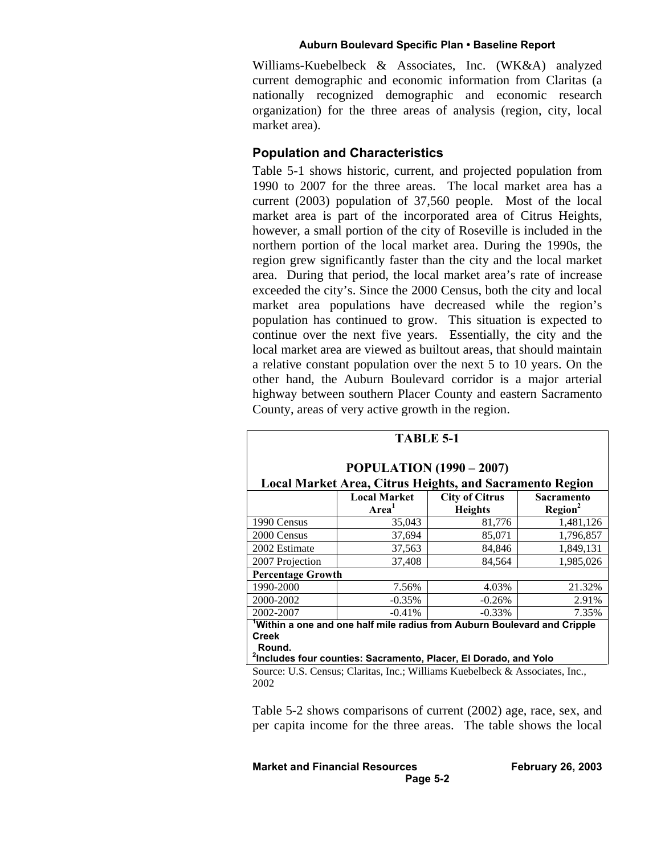Williams-Kuebelbeck & Associates, Inc. (WK&A) analyzed current demographic and economic information from Claritas (a nationally recognized demographic and economic research organization) for the three areas of analysis (region, city, local market area).

#### **Population and Characteristics**

Table 5-1 shows historic, current, and projected population from 1990 to 2007 for the three areas. The local market area has a current (2003) population of 37,560 people. Most of the local market area is part of the incorporated area of Citrus Heights, however, a small portion of the city of Roseville is included in the northern portion of the local market area. During the 1990s, the region grew significantly faster than the city and the local market area. During that period, the local market area's rate of increase exceeded the city's. Since the 2000 Census, both the city and local market area populations have decreased while the region's population has continued to grow. This situation is expected to continue over the next five years. Essentially, the city and the local market area are viewed as builtout areas, that should maintain a relative constant population over the next 5 to 10 years. On the other hand, the Auburn Boulevard corridor is a major arterial highway between southern Placer County and eastern Sacramento County, areas of very active growth in the region.

|                                                                                                                                                              | <b>Local Market</b><br>Area <sup>1</sup> | <b>POPULATION (1990 – 2007)</b><br><b>Local Market Area, Citrus Heights, and Sacramento Region</b><br><b>City of Citrus</b> | Sacramento          |  |  |
|--------------------------------------------------------------------------------------------------------------------------------------------------------------|------------------------------------------|-----------------------------------------------------------------------------------------------------------------------------|---------------------|--|--|
|                                                                                                                                                              |                                          |                                                                                                                             |                     |  |  |
|                                                                                                                                                              |                                          | <b>Heights</b>                                                                                                              | Region <sup>2</sup> |  |  |
| 1990 Census                                                                                                                                                  | 35,043                                   | 81,776                                                                                                                      | 1,481,126           |  |  |
| 2000 Census                                                                                                                                                  | 37,694                                   | 85,071                                                                                                                      | 1,796,857           |  |  |
| 2002 Estimate                                                                                                                                                | 37,563                                   | 84,846                                                                                                                      | 1,849,131           |  |  |
| 2007 Projection                                                                                                                                              | 37,408                                   | 84,564                                                                                                                      | 1,985,026           |  |  |
| <b>Percentage Growth</b>                                                                                                                                     |                                          |                                                                                                                             |                     |  |  |
| 1990-2000                                                                                                                                                    | 7.56%                                    | 4.03%                                                                                                                       | 21.32%              |  |  |
| 2000-2002                                                                                                                                                    | $-0.35%$                                 | $-0.26%$                                                                                                                    | 2.91%               |  |  |
| 2002-2007                                                                                                                                                    | $-0.41%$                                 | $-0.33%$                                                                                                                    | 7.35%               |  |  |
| Within a one and one half mile radius from Auburn Boulevard and Cripple<br><b>Creek</b><br>Round.                                                            |                                          |                                                                                                                             |                     |  |  |
| <sup>2</sup> Includes four counties: Sacramento, Placer, El Dorado, and Yolo<br>Source: U.S. Census; Claritas, Inc.; Williams Kuebelbeck & Associates, Inc., |                                          |                                                                                                                             |                     |  |  |

Source: U.S. Census; Claritas, Inc.; Williams Kuebelbeck & Associates, Inc., 2002

Table 5-2 shows comparisons of current (2002) age, race, sex, and per capita income for the three areas. The table shows the local

**Market and Financial Resources February 26, 2003 Page 5-2**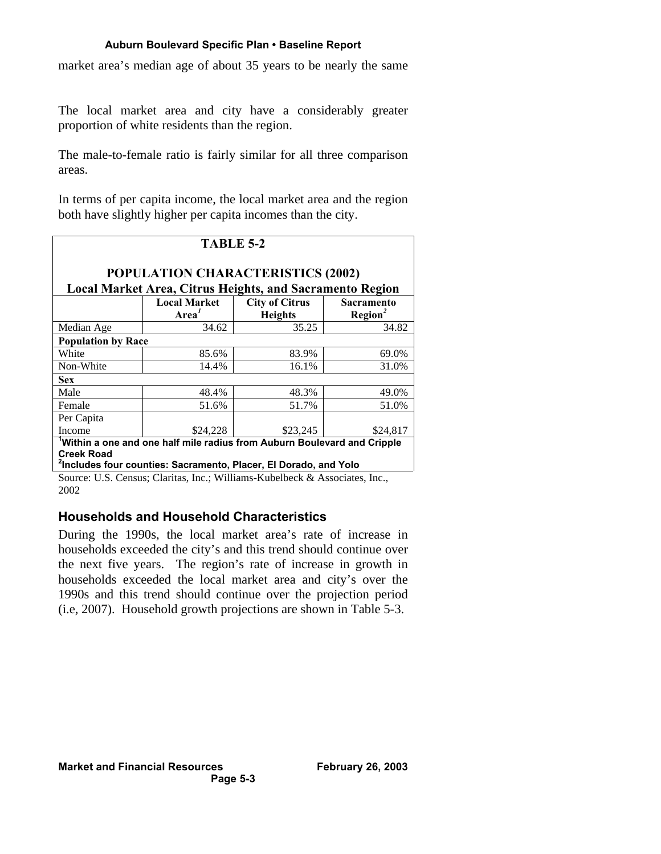market area's median age of about 35 years to be nearly the same

The local market area and city have a considerably greater proportion of white residents than the region.

The male-to-female ratio is fairly similar for all three comparison areas.

In terms of per capita income, the local market area and the region both have slightly higher per capita incomes than the city.

|                           | TABLE 5-2<br><b>POPULATION CHARACTERISTICS (2002)</b><br><b>Local Market Area, Citrus Heights, and Sacramento Region</b>                                |                                         |                                          |
|---------------------------|---------------------------------------------------------------------------------------------------------------------------------------------------------|-----------------------------------------|------------------------------------------|
|                           | <b>Local Market</b><br>Area <sup>1</sup>                                                                                                                | <b>City of Citrus</b><br><b>Heights</b> | <b>Sacramento</b><br>Region <sup>2</sup> |
| Median Age                | 34.62                                                                                                                                                   | 35.25                                   | 34.82                                    |
| <b>Population by Race</b> |                                                                                                                                                         |                                         |                                          |
| White                     | 85.6%                                                                                                                                                   | 83.9%                                   | 69.0%                                    |
| Non-White                 | 14.4%                                                                                                                                                   | 16.1%                                   | 31.0%                                    |
| <b>Sex</b>                |                                                                                                                                                         |                                         |                                          |
| Male                      | 48.4%                                                                                                                                                   | 48.3%                                   | 49.0%                                    |
| Female                    | 51.6%                                                                                                                                                   | 51.7%                                   | 51.0%                                    |
| Per Capita                |                                                                                                                                                         |                                         |                                          |
| Income                    | \$24,228                                                                                                                                                | \$23,245                                | \$24,817                                 |
| <b>Creek Road</b>         | Within a one and one half mile radius from Auburn Boulevard and Cripple<br><sup>2</sup> Includes four counties: Sacramento, Placer, El Dorado, and Yolo |                                         |                                          |

Source: U.S. Census; Claritas, Inc.; Williams-Kubelbeck & Associates, Inc., 2002

## **Households and Household Characteristics**

During the 1990s, the local market area's rate of increase in households exceeded the city's and this trend should continue over the next five years. The region's rate of increase in growth in households exceeded the local market area and city's over the 1990s and this trend should continue over the projection period (i.e, 2007). Household growth projections are shown in Table 5-3.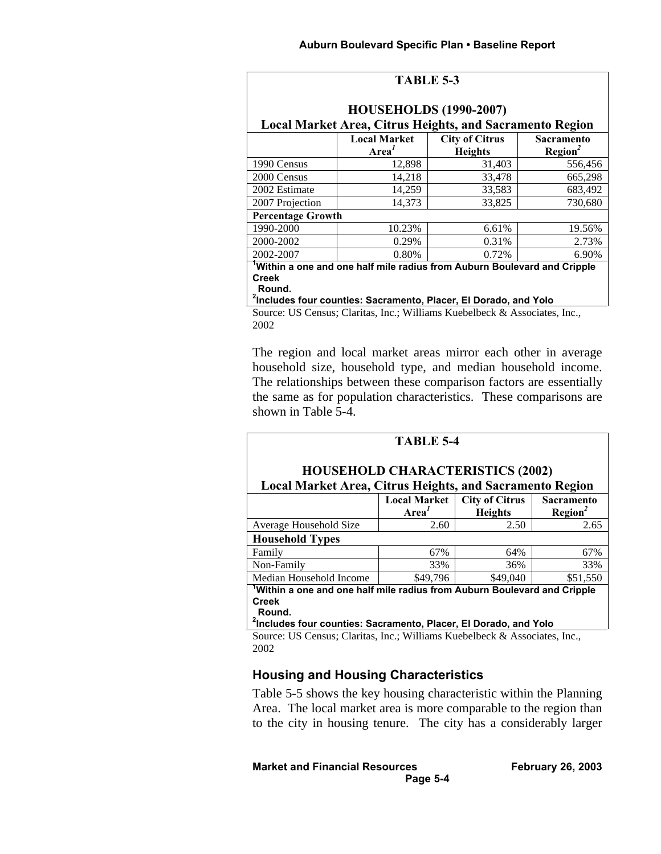| TABLE 5-3                                                                                                                     |                                                                         |                |                     |  |  |  |  |
|-------------------------------------------------------------------------------------------------------------------------------|-------------------------------------------------------------------------|----------------|---------------------|--|--|--|--|
| <b>HOUSEHOLDS (1990-2007)</b>                                                                                                 |                                                                         |                |                     |  |  |  |  |
| Local Market Area, Citrus Heights, and Sacramento Region<br><b>Local Market</b><br><b>City of Citrus</b><br><b>Sacramento</b> |                                                                         |                |                     |  |  |  |  |
|                                                                                                                               | Area <sup>1</sup>                                                       | <b>Heights</b> | Region <sup>2</sup> |  |  |  |  |
| 1990 Census                                                                                                                   | 12,898                                                                  | 31,403         | 556,456             |  |  |  |  |
| 2000 Census                                                                                                                   | 14,218                                                                  | 33,478         | 665,298             |  |  |  |  |
| 2002 Estimate                                                                                                                 | 14,259                                                                  | 33,583         | 683,492             |  |  |  |  |
| 2007 Projection                                                                                                               | 14,373                                                                  | 33,825         | 730,680             |  |  |  |  |
| <b>Percentage Growth</b>                                                                                                      |                                                                         |                |                     |  |  |  |  |
| 1990-2000                                                                                                                     | 10.23%                                                                  | 6.61%          | 19.56%              |  |  |  |  |
| 2000-2002                                                                                                                     | 0.29%                                                                   | 0.31%          | 2.73%               |  |  |  |  |
| 2002-2007                                                                                                                     | 0.80%                                                                   | 0.72%          | 6.90%               |  |  |  |  |
|                                                                                                                               | Within a one and one half mile radius from Auburn Boulevard and Cripple |                |                     |  |  |  |  |
| <b>Creek</b><br>Round.                                                                                                        |                                                                         |                |                     |  |  |  |  |

**2 Includes four counties: Sacramento, Placer, El Dorado, and Yolo**

Source: US Census; Claritas, Inc.; Williams Kuebelbeck & Associates, Inc., 2002

The region and local market areas mirror each other in average household size, household type, and median household income. The relationships between these comparison factors are essentially the same as for population characteristics. These comparisons are shown in Table 5-4.

|                                                                                      | <b>TABLE 5-4</b>                         |                                         |                                        |
|--------------------------------------------------------------------------------------|------------------------------------------|-----------------------------------------|----------------------------------------|
| <b>Local Market Area, Citrus Heights, and Sacramento Region</b>                      |                                          | <b>HOUSEHOLD CHARACTERISTICS (2002)</b> |                                        |
|                                                                                      | <b>Local Market</b><br>Area <sup>1</sup> | <b>City of Citrus</b><br><b>Heights</b> | <b>Sacramento</b><br>$\text{Region}^2$ |
| Average Household Size                                                               | 2.60                                     | 2.50                                    | 2.65                                   |
| <b>Household Types</b>                                                               |                                          |                                         |                                        |
| Family                                                                               | 67%                                      | 64%                                     | 67%                                    |
| Non-Family                                                                           | 33%                                      | 36%                                     | 33%                                    |
| Median Household Income                                                              | \$49,796                                 | \$49,040                                | \$51,550                               |
| <sup>1</sup> Within a one and one half mile radius from Auburn Boulevard and Cripple |                                          |                                         |                                        |

**Creek Round.**

**2 Includes four counties: Sacramento, Placer, El Dorado, and Yolo**

Source: US Census; Claritas, Inc.; Williams Kuebelbeck & Associates, Inc., 2002

## **Housing and Housing Characteristics**

Table 5-5 shows the key housing characteristic within the Planning Area. The local market area is more comparable to the region than to the city in housing tenure. The city has a considerably larger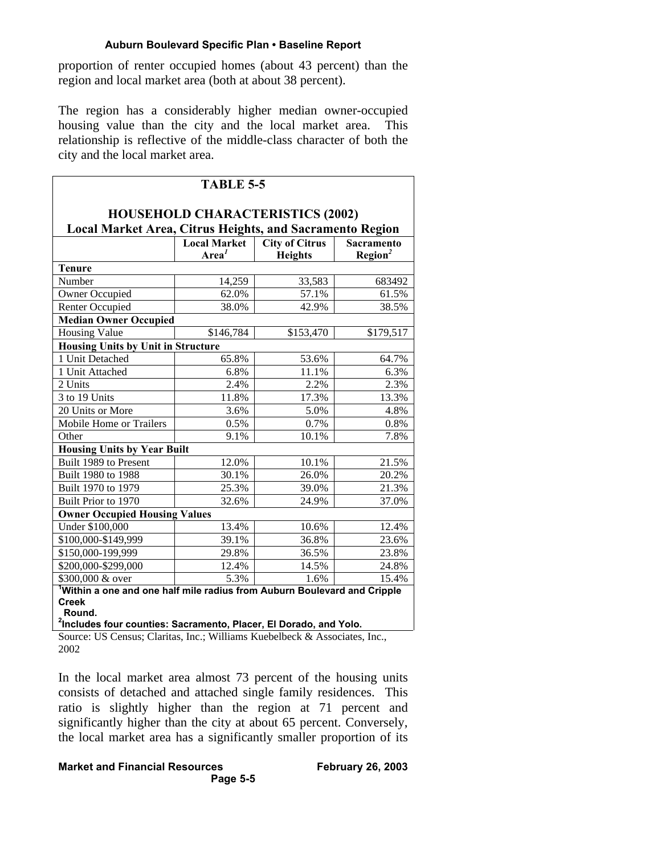proportion of renter occupied homes (about 43 percent) than the region and local market area (both at about 38 percent).

The region has a considerably higher median owner-occupied housing value than the city and the local market area. This relationship is reflective of the middle-class character of both the city and the local market area.

|                                                                                                            | <b>TABLE 5-5</b>    |                       |                   |  |  |  |
|------------------------------------------------------------------------------------------------------------|---------------------|-----------------------|-------------------|--|--|--|
|                                                                                                            |                     |                       |                   |  |  |  |
| <b>HOUSEHOLD CHARACTERISTICS (2002)</b><br><b>Local Market Area, Citrus Heights, and Sacramento Region</b> |                     |                       |                   |  |  |  |
|                                                                                                            | <b>Local Market</b> | <b>City of Citrus</b> | <b>Sacramento</b> |  |  |  |
|                                                                                                            | Area <sup>1</sup>   | <b>Heights</b>        | $\text{Region}^2$ |  |  |  |
| <b>Tenure</b>                                                                                              |                     |                       |                   |  |  |  |
| Number                                                                                                     | 14,259              | 33,583                | 683492            |  |  |  |
| <b>Owner Occupied</b>                                                                                      | 62.0%               | 57.1%                 | 61.5%             |  |  |  |
| <b>Renter Occupied</b>                                                                                     | 38.0%               | 42.9%                 | 38.5%             |  |  |  |
| <b>Median Owner Occupied</b>                                                                               |                     |                       |                   |  |  |  |
| <b>Housing Value</b>                                                                                       | \$146,784           | \$153,470             | \$179,517         |  |  |  |
| <b>Housing Units by Unit in Structure</b>                                                                  |                     |                       |                   |  |  |  |
| 1 Unit Detached                                                                                            | 65.8%               | 53.6%                 | 64.7%             |  |  |  |
| 1 Unit Attached                                                                                            | 6.8%                | 11.1%                 | 6.3%              |  |  |  |
| 2 Units                                                                                                    | 2.4%                | 2.2%                  | 2.3%              |  |  |  |
| 3 to 19 Units                                                                                              | 11.8%               | 17.3%                 | 13.3%             |  |  |  |
| 20 Units or More                                                                                           | 3.6%                | 5.0%                  | 4.8%              |  |  |  |
| Mobile Home or Trailers                                                                                    | 0.5%                | 0.7%                  | 0.8%              |  |  |  |
| Other                                                                                                      | 9.1%                | 10.1%                 | 7.8%              |  |  |  |
| <b>Housing Units by Year Built</b>                                                                         |                     |                       |                   |  |  |  |
| Built 1989 to Present                                                                                      | 12.0%               | 10.1%                 | 21.5%             |  |  |  |
| Built 1980 to 1988                                                                                         | 30.1%               | 26.0%                 | 20.2%             |  |  |  |
| Built 1970 to 1979                                                                                         | 25.3%               | 39.0%                 | 21.3%             |  |  |  |
| Built Prior to 1970                                                                                        | 32.6%               | 24.9%                 | 37.0%             |  |  |  |
| <b>Owner Occupied Housing Values</b>                                                                       |                     |                       |                   |  |  |  |
| Under \$100,000                                                                                            | 13.4%               | 10.6%                 | 12.4%             |  |  |  |
| \$100,000-\$149,999                                                                                        | 39.1%               | 36.8%                 | 23.6%             |  |  |  |
| \$150,000-199,999                                                                                          | 29.8%               | 36.5%                 | 23.8%             |  |  |  |
| \$200,000-\$299,000                                                                                        | 12.4%               | 14.5%                 | 24.8%             |  |  |  |
| \$300,000 & over                                                                                           | 5.3%                | 1.6%                  | 15.4%             |  |  |  |
| <sup>1</sup> Within a one and one half mile radius from Auburn Boulevard and Cripple                       |                     |                       |                   |  |  |  |
| <b>Creek</b>                                                                                               |                     |                       |                   |  |  |  |
| Round.                                                                                                     |                     |                       |                   |  |  |  |
| <sup>2</sup> Includes four counties: Sacramento, Placer, El Dorado, and Yolo.                              |                     |                       |                   |  |  |  |

**2 Includes four counties: Sacramento, Placer, El Dorado, and Yolo.**

Source: US Census; Claritas, Inc.; Williams Kuebelbeck & Associates, Inc., 2002

In the local market area almost 73 percent of the housing units consists of detached and attached single family residences. This ratio is slightly higher than the region at 71 percent and significantly higher than the city at about 65 percent. Conversely, the local market area has a significantly smaller proportion of its

**Market and Financial Resources February 26, 2003**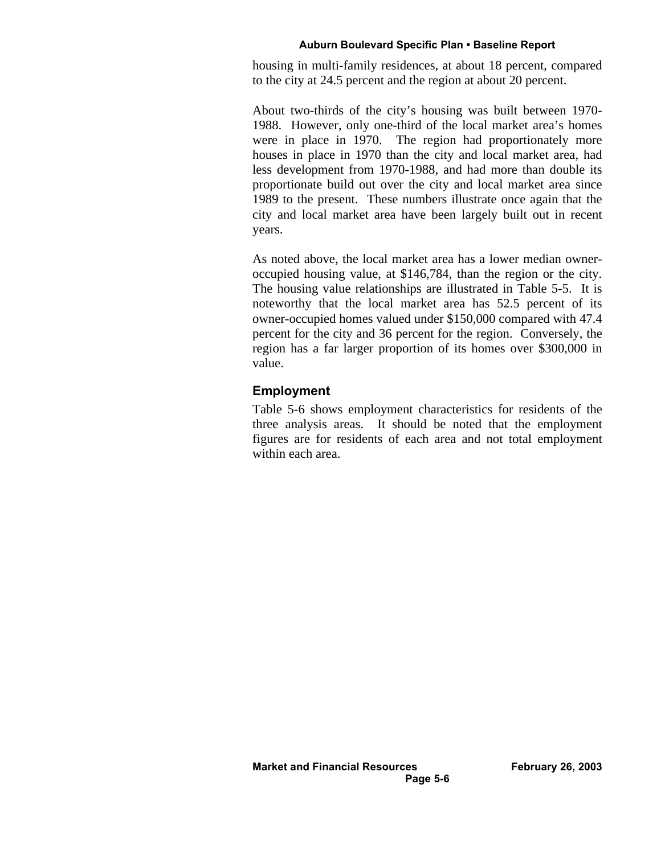housing in multi-family residences, at about 18 percent, compared to the city at 24.5 percent and the region at about 20 percent.

About two-thirds of the city's housing was built between 1970- 1988. However, only one-third of the local market area's homes were in place in 1970. The region had proportionately more houses in place in 1970 than the city and local market area, had less development from 1970-1988, and had more than double its proportionate build out over the city and local market area since 1989 to the present. These numbers illustrate once again that the city and local market area have been largely built out in recent years.

As noted above, the local market area has a lower median owneroccupied housing value, at \$146,784, than the region or the city. The housing value relationships are illustrated in Table 5-5. It is noteworthy that the local market area has 52.5 percent of its owner-occupied homes valued under \$150,000 compared with 47.4 percent for the city and 36 percent for the region. Conversely, the region has a far larger proportion of its homes over \$300,000 in value.

## **Employment**

Table 5-6 shows employment characteristics for residents of the three analysis areas. It should be noted that the employment figures are for residents of each area and not total employment within each area.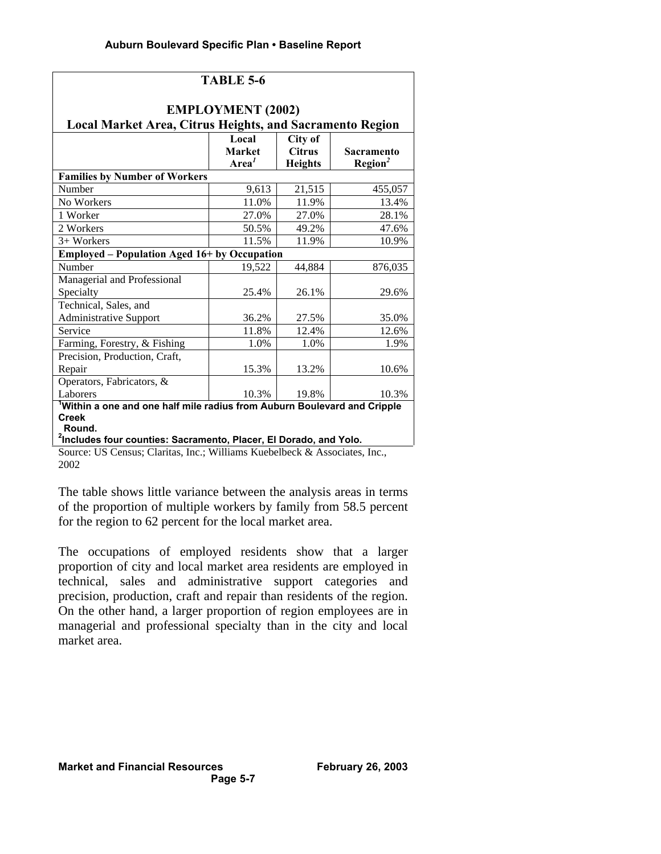|                                                                                      | <b>TABLE 5-6</b>                            |                                            |                                   |  |  |  |
|--------------------------------------------------------------------------------------|---------------------------------------------|--------------------------------------------|-----------------------------------|--|--|--|
| <b>EMPLOYMENT (2002)</b><br>Local Market Area, Citrus Heights, and Sacramento Region |                                             |                                            |                                   |  |  |  |
|                                                                                      | Local<br><b>Market</b><br>Area <sup>1</sup> | City of<br><b>Citrus</b><br><b>Heights</b> | Sacramento<br>Region <sup>2</sup> |  |  |  |
| <b>Families by Number of Workers</b>                                                 |                                             |                                            |                                   |  |  |  |
| Number                                                                               | 9,613                                       | 21,515                                     | 455,057                           |  |  |  |
| No Workers                                                                           | 11.0%                                       | 11.9%                                      | 13.4%                             |  |  |  |
| 1 Worker                                                                             | 27.0%                                       | 27.0%                                      | 28.1%                             |  |  |  |
| 2 Workers                                                                            | 50.5%                                       | 49.2%                                      | 47.6%                             |  |  |  |
| 3+ Workers                                                                           | 11.5%                                       | 11.9%                                      | 10.9%                             |  |  |  |
| <b>Employed – Population Aged 16+ by Occupation</b>                                  |                                             |                                            |                                   |  |  |  |
| Number                                                                               | 19,522                                      | 44,884                                     | 876,035                           |  |  |  |
| Managerial and Professional                                                          |                                             |                                            |                                   |  |  |  |
| Specialty                                                                            | 25.4%                                       | 26.1%                                      | 29.6%                             |  |  |  |
| Technical, Sales, and                                                                |                                             |                                            |                                   |  |  |  |
| <b>Administrative Support</b>                                                        | 36.2%                                       | 27.5%                                      | 35.0%                             |  |  |  |
| Service                                                                              | 11.8%                                       | 12.4%                                      | 12.6%                             |  |  |  |
| Farming, Forestry, & Fishing                                                         | 1.0%                                        | 1.0%                                       | 1.9%                              |  |  |  |
| Precision, Production, Craft,                                                        |                                             |                                            |                                   |  |  |  |
| Repair                                                                               | 15.3%                                       | 13.2%                                      | 10.6%                             |  |  |  |
| Operators, Fabricators, &                                                            |                                             |                                            |                                   |  |  |  |
| Laborers                                                                             | 10.3%                                       | 19.8%                                      | 10.3%                             |  |  |  |
| <sup>1</sup> Within a one and one half mile radius from Auburn Boulevard and Cripple |                                             |                                            |                                   |  |  |  |
| <b>Creek</b><br>Round.                                                               |                                             |                                            |                                   |  |  |  |
| <sup>2</sup> Includes four counties: Sacramento, Placer, El Dorado, and Yolo.        |                                             |                                            |                                   |  |  |  |

**2 Includes four counties: Sacramento, Placer, El Dorado, and Yolo.**

Source: US Census; Claritas, Inc.; Williams Kuebelbeck & Associates, Inc., 2002

The table shows little variance between the analysis areas in terms of the proportion of multiple workers by family from 58.5 percent for the region to 62 percent for the local market area.

The occupations of employed residents show that a larger proportion of city and local market area residents are employed in technical, sales and administrative support categories and precision, production, craft and repair than residents of the region. On the other hand, a larger proportion of region employees are in managerial and professional specialty than in the city and local market area.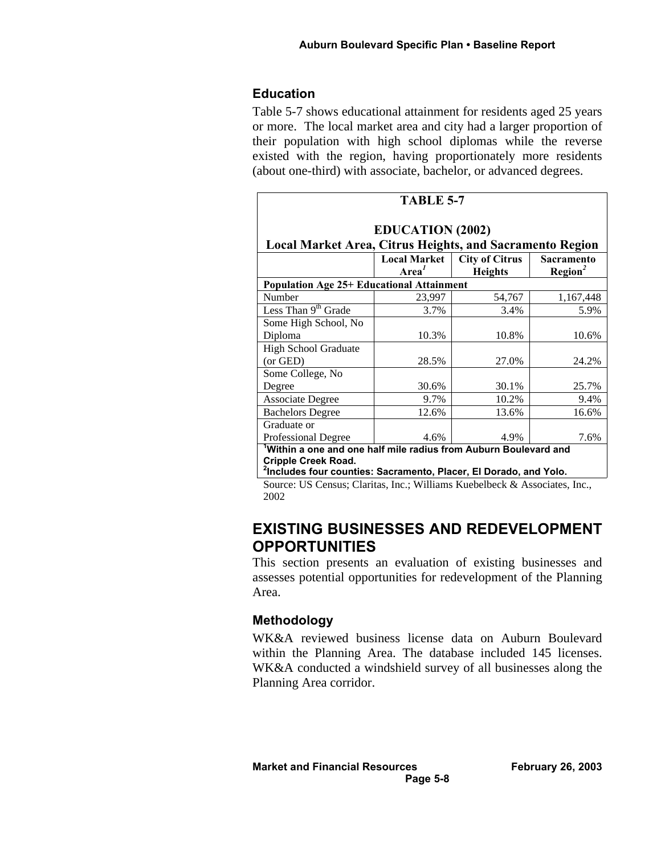#### **Education**

Table 5-7 shows educational attainment for residents aged 25 years or more. The local market area and city had a larger proportion of their population with high school diplomas while the reverse existed with the region, having proportionately more residents (about one-third) with associate, bachelor, or advanced degrees.

|                                                                                                             | <b>TABLE 5-7</b>  |                |                     |  |  |  |  |
|-------------------------------------------------------------------------------------------------------------|-------------------|----------------|---------------------|--|--|--|--|
| <b>EDUCATION (2002)</b>                                                                                     |                   |                |                     |  |  |  |  |
| <b>Local Market Area, Citrus Heights, and Sacramento Region</b>                                             |                   |                |                     |  |  |  |  |
| <b>Local Market</b><br><b>City of Citrus</b><br><b>Sacramento</b>                                           |                   |                |                     |  |  |  |  |
|                                                                                                             | Area <sup>1</sup> | <b>Heights</b> | Region <sup>2</sup> |  |  |  |  |
| <b>Population Age 25+ Educational Attainment</b>                                                            |                   |                |                     |  |  |  |  |
| Number                                                                                                      | 23,997            | 54,767         | 1,167,448           |  |  |  |  |
| Less Than 9 <sup>th</sup> Grade                                                                             | 3.7%              | 3.4%           | 5.9%                |  |  |  |  |
| Some High School, No                                                                                        |                   |                |                     |  |  |  |  |
| Diploma                                                                                                     | 10.3%             | 10.8%          | 10.6%               |  |  |  |  |
| High School Graduate                                                                                        |                   |                |                     |  |  |  |  |
| (or GED)                                                                                                    | 28.5%             | 27.0%          | 24.2%               |  |  |  |  |
| Some College, No                                                                                            |                   |                |                     |  |  |  |  |
| Degree                                                                                                      | 30.6%             | 30.1%          | 25.7%               |  |  |  |  |
| <b>Associate Degree</b>                                                                                     | 9.7%              | 10.2%          | 9.4%                |  |  |  |  |
| <b>Bachelors Degree</b>                                                                                     | 12.6%             | 13.6%          | 16.6%               |  |  |  |  |
| Graduate or                                                                                                 |                   |                |                     |  |  |  |  |
| Professional Degree                                                                                         | 4.6%              | 4.9%           | 7.6%                |  |  |  |  |
| Within a one and one half mile radius from Auburn Boulevard and                                             |                   |                |                     |  |  |  |  |
| <b>Cripple Creek Road.</b><br><sup>2</sup> Includes four counties: Sacramento, Placer, El Dorado, and Yolo. |                   |                |                     |  |  |  |  |

Source: US Census; Claritas, Inc.; Williams Kuebelbeck & Associates, Inc., 2002

# **EXISTING BUSINESSES AND REDEVELOPMENT OPPORTUNITIES**

This section presents an evaluation of existing businesses and assesses potential opportunities for redevelopment of the Planning Area.

## **Methodology**

WK&A reviewed business license data on Auburn Boulevard within the Planning Area. The database included 145 licenses. WK&A conducted a windshield survey of all businesses along the Planning Area corridor.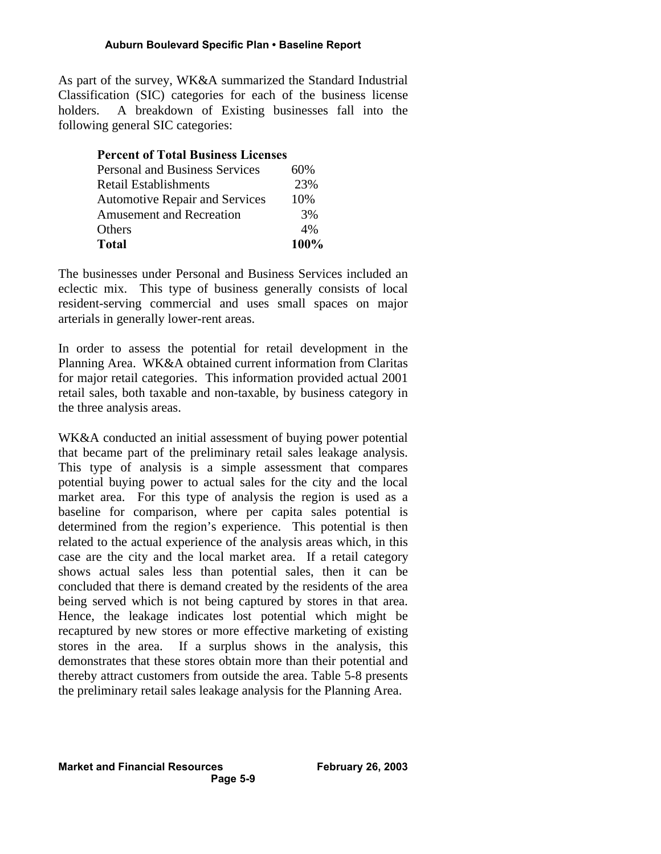As part of the survey, WK&A summarized the Standard Industrial Classification (SIC) categories for each of the business license holders. A breakdown of Existing businesses fall into the following general SIC categories:

#### **Percent of Total Business Licenses**

| <b>Personal and Business Services</b> | 60%  |
|---------------------------------------|------|
| Retail Establishments                 | 23%  |
| <b>Automotive Repair and Services</b> | 10%  |
| <b>Amusement and Recreation</b>       | 3%   |
| Others                                | 4%   |
| Total                                 | 100% |

The businesses under Personal and Business Services included an eclectic mix. This type of business generally consists of local resident-serving commercial and uses small spaces on major arterials in generally lower-rent areas.

In order to assess the potential for retail development in the Planning Area. WK&A obtained current information from Claritas for major retail categories. This information provided actual 2001 retail sales, both taxable and non-taxable, by business category in the three analysis areas.

WK&A conducted an initial assessment of buying power potential that became part of the preliminary retail sales leakage analysis. This type of analysis is a simple assessment that compares potential buying power to actual sales for the city and the local market area. For this type of analysis the region is used as a baseline for comparison, where per capita sales potential is determined from the region's experience. This potential is then related to the actual experience of the analysis areas which, in this case are the city and the local market area. If a retail category shows actual sales less than potential sales, then it can be concluded that there is demand created by the residents of the area being served which is not being captured by stores in that area. Hence, the leakage indicates lost potential which might be recaptured by new stores or more effective marketing of existing stores in the area. If a surplus shows in the analysis, this demonstrates that these stores obtain more than their potential and thereby attract customers from outside the area. Table 5-8 presents the preliminary retail sales leakage analysis for the Planning Area.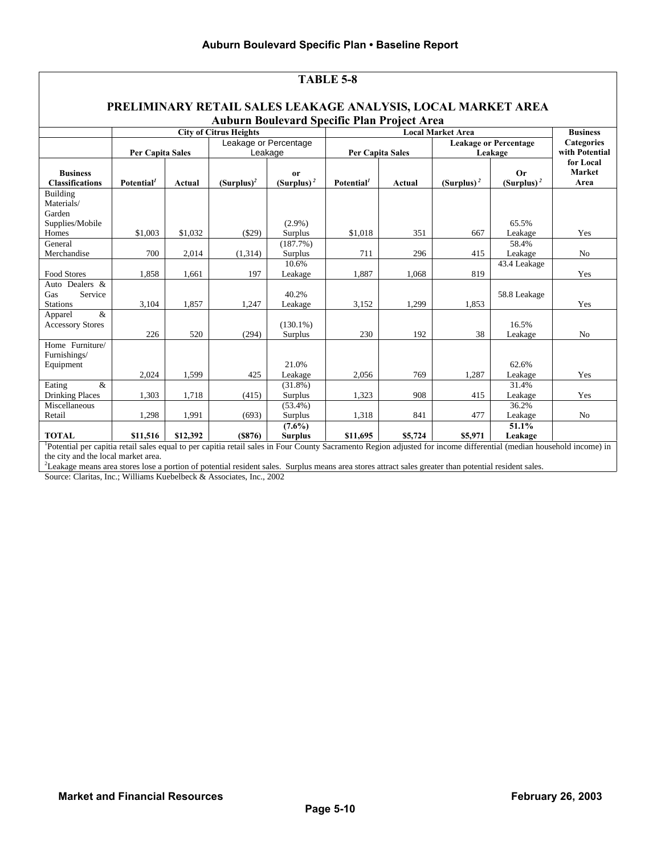| <b>TABLE 5-8</b>                                                                                                                                                                 |                         |               |                               |                                |                                     |         |               |                                            |                            |  |
|----------------------------------------------------------------------------------------------------------------------------------------------------------------------------------|-------------------------|---------------|-------------------------------|--------------------------------|-------------------------------------|---------|---------------|--------------------------------------------|----------------------------|--|
|                                                                                                                                                                                  |                         |               |                               |                                |                                     |         |               |                                            |                            |  |
| PRELIMINARY RETAIL SALES LEAKAGE ANALYSIS, LOCAL MARKET AREA                                                                                                                     |                         |               |                               |                                |                                     |         |               |                                            |                            |  |
| Auburn Boulevard Specific Plan Project Area                                                                                                                                      |                         |               |                               |                                |                                     |         |               |                                            |                            |  |
|                                                                                                                                                                                  |                         |               | <b>City of Citrus Heights</b> |                                | <b>Local Market Area</b>            |         |               | <b>Business</b>                            |                            |  |
|                                                                                                                                                                                  |                         |               | Leakage or Percentage         |                                |                                     |         |               | <b>Leakage or Percentage</b><br>Categories |                            |  |
|                                                                                                                                                                                  | <b>Per Capita Sales</b> |               | Leakage                       |                                | <b>Per Capita Sales</b>             |         |               | Leakage                                    | with Potential             |  |
| <b>Business</b>                                                                                                                                                                  |                         |               |                               |                                |                                     |         |               | <b>Or</b>                                  | for Local<br><b>Market</b> |  |
| <b>Classifications</b>                                                                                                                                                           | Potential <sup>1</sup>  | <b>Actual</b> | $(Surplus)^2$                 | <sub>or</sub><br>$(Surplus)^2$ | Potential <sup><math>I</math></sup> | Actual  | $(Surplus)^2$ | $(Surplus)^2$                              | Area                       |  |
| Building                                                                                                                                                                         |                         |               |                               |                                |                                     |         |               |                                            |                            |  |
| Materials/                                                                                                                                                                       |                         |               |                               |                                |                                     |         |               |                                            |                            |  |
| Garden                                                                                                                                                                           |                         |               |                               |                                |                                     |         |               |                                            |                            |  |
| Supplies/Mobile                                                                                                                                                                  |                         |               |                               | $(2.9\%)$                      |                                     |         |               | 65.5%                                      |                            |  |
| Homes                                                                                                                                                                            | \$1,003                 | \$1,032       | $(\$29)$                      | Surplus                        | \$1,018                             | 351     | 667           | Leakage                                    | Yes                        |  |
| General                                                                                                                                                                          |                         |               |                               | $(187.7\%)$                    |                                     |         |               | 58.4%                                      |                            |  |
| Merchandise                                                                                                                                                                      | 700                     | 2,014         | (1,314)                       | Surplus                        | 711                                 | 296     | 415           | Leakage                                    | No                         |  |
|                                                                                                                                                                                  |                         |               |                               | 10.6%                          |                                     |         |               | 43.4 Leakage                               |                            |  |
| <b>Food Stores</b>                                                                                                                                                               | 1,858                   | 1,661         | 197                           | Leakage                        | 1,887                               | 1,068   | 819           |                                            | Yes                        |  |
| Auto Dealers &                                                                                                                                                                   |                         |               |                               |                                |                                     |         |               |                                            |                            |  |
| Service<br>Gas                                                                                                                                                                   |                         |               |                               | 40.2%                          |                                     |         |               | 58.8 Leakage                               |                            |  |
| <b>Stations</b>                                                                                                                                                                  | 3,104                   | 1,857         | 1,247                         | Leakage                        | 3.152                               | 1,299   | 1,853         |                                            | Yes                        |  |
| $\&$<br>Apparel                                                                                                                                                                  |                         |               |                               |                                |                                     |         |               |                                            |                            |  |
| <b>Accessory Stores</b>                                                                                                                                                          |                         |               |                               | $(130.1\%)$                    |                                     |         |               | 16.5%                                      |                            |  |
| Home Furniture/                                                                                                                                                                  | 226                     | 520           | (294)                         | Surplus                        | 230                                 | 192     | 38            | Leakage                                    | N <sub>o</sub>             |  |
| Furnishings/                                                                                                                                                                     |                         |               |                               |                                |                                     |         |               |                                            |                            |  |
| Equipment                                                                                                                                                                        |                         |               |                               | 21.0%                          |                                     |         |               | 62.6%                                      |                            |  |
|                                                                                                                                                                                  | 2,024                   | 1,599         | 425                           | Leakage                        | 2,056                               | 769     | 1,287         | Leakage                                    | Yes                        |  |
| $\&$<br>Eating                                                                                                                                                                   |                         |               |                               | $(31.8\%)$                     |                                     |         |               | 31.4%                                      |                            |  |
| <b>Drinking Places</b>                                                                                                                                                           | 1,303                   | 1,718         | (415)                         | Surplus                        | 1,323                               | 908     | 415           | Leakage                                    | Yes                        |  |
| Miscellaneous                                                                                                                                                                    |                         |               |                               | $(53.4\%)$                     |                                     |         |               | 36.2%                                      |                            |  |
| Retail                                                                                                                                                                           | 1,298                   | 1,991         | (693)                         | Surplus                        | 1,318                               | 841     | 477           | Leakage                                    | N <sub>o</sub>             |  |
|                                                                                                                                                                                  |                         |               |                               | $(7.6\%)$                      |                                     |         |               | 51.1%                                      |                            |  |
| <b>TOTAL</b>                                                                                                                                                                     | \$11,516                | \$12,392      | (S876)                        | <b>Surplus</b>                 | \$11,695                            | \$5,724 | \$5,971       | Leakage                                    |                            |  |
| <sup>1</sup> Potential per capitia retail sales equal to per capitia retail sales in Four County Sacramento Region adjusted for income differential (median household income) in |                         |               |                               |                                |                                     |         |               |                                            |                            |  |

the city and the local market area.

<sup>2</sup>Leakage means area stores lose a portion of potential resident sales. Surplus means area stores attract sales greater than potential resident sales.

Source: Claritas, Inc.; Williams Kuebelbeck & Associates, Inc., 2002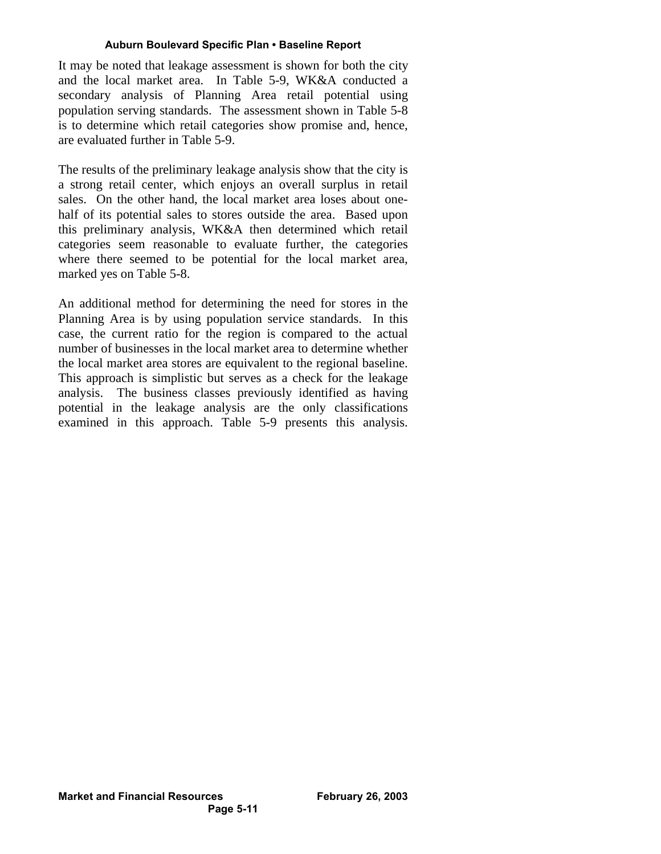It may be noted that leakage assessment is shown for both the city and the local market area. In Table 5-9, WK&A conducted a secondary analysis of Planning Area retail potential using population serving standards. The assessment shown in Table 5-8 is to determine which retail categories show promise and, hence, are evaluated further in Table 5-9.

The results of the preliminary leakage analysis show that the city is a strong retail center, which enjoys an overall surplus in retail sales. On the other hand, the local market area loses about onehalf of its potential sales to stores outside the area. Based upon this preliminary analysis, WK&A then determined which retail categories seem reasonable to evaluate further, the categories where there seemed to be potential for the local market area, marked yes on Table 5-8.

An additional method for determining the need for stores in the Planning Area is by using population service standards. In this case, the current ratio for the region is compared to the actual number of businesses in the local market area to determine whether the local market area stores are equivalent to the regional baseline. This approach is simplistic but serves as a check for the leakage analysis. The business classes previously identified as having potential in the leakage analysis are the only classifications examined in this approach. Table 5-9 presents this analysis.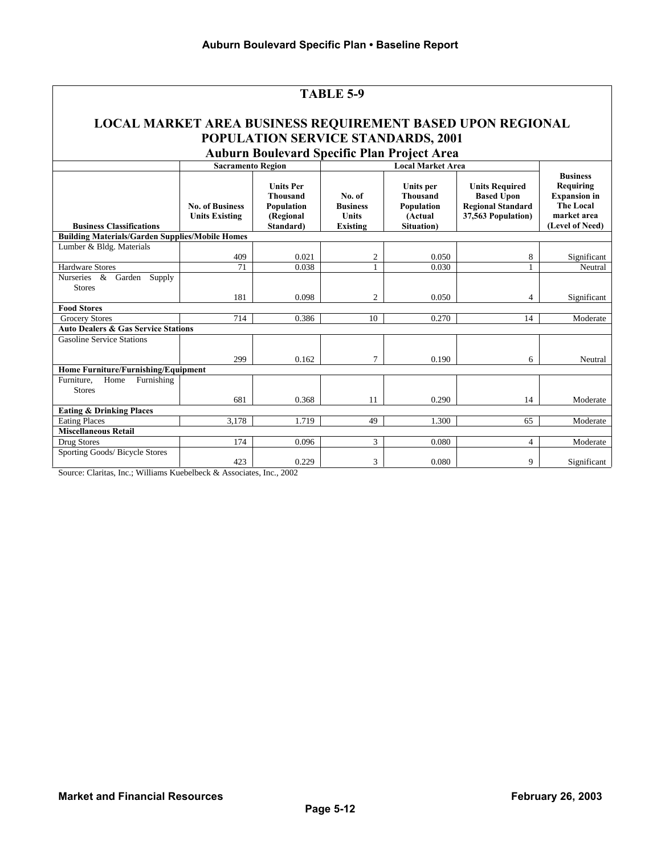|                                                                                                            |                                                 |                                                                             | TABLE 5-9                                                    |                                                                     |                                                                                              |                                                                                                           |  |
|------------------------------------------------------------------------------------------------------------|-------------------------------------------------|-----------------------------------------------------------------------------|--------------------------------------------------------------|---------------------------------------------------------------------|----------------------------------------------------------------------------------------------|-----------------------------------------------------------------------------------------------------------|--|
| <b>LOCAL MARKET AREA BUSINESS REQUIREMENT BASED UPON REGIONAL</b>                                          |                                                 |                                                                             |                                                              | POPULATION SERVICE STANDARDS, 2001                                  |                                                                                              |                                                                                                           |  |
| <b>Auburn Boulevard Specific Plan Project Area</b><br><b>Local Market Area</b><br><b>Sacramento Region</b> |                                                 |                                                                             |                                                              |                                                                     |                                                                                              |                                                                                                           |  |
| <b>Business Classifications</b>                                                                            | <b>No. of Business</b><br><b>Units Existing</b> | <b>Units Per</b><br><b>Thousand</b><br>Population<br>(Regional<br>Standard) | No. of<br><b>Business</b><br><b>Units</b><br><b>Existing</b> | Units per<br><b>Thousand</b><br>Population<br>(Actual<br>Situation) | <b>Units Required</b><br><b>Based Upon</b><br><b>Regional Standard</b><br>37,563 Population) | <b>Business</b><br>Requiring<br><b>Expansion</b> in<br><b>The Local</b><br>market area<br>(Level of Need) |  |
| <b>Building Materials/Garden Supplies/Mobile Homes</b>                                                     |                                                 |                                                                             |                                                              |                                                                     |                                                                                              |                                                                                                           |  |
| Lumber & Bldg. Materials                                                                                   | 409                                             | 0.021                                                                       | 2                                                            | 0.050                                                               | 8                                                                                            | Significant                                                                                               |  |
| Hardware Stores                                                                                            | 71                                              | 0.038                                                                       |                                                              | 0.030                                                               |                                                                                              | Neutral                                                                                                   |  |
| Nurseries & Garden<br>Supply<br><b>Stores</b><br><b>Food Stores</b>                                        | 181                                             | 0.098                                                                       | $\overline{c}$                                               | 0.050                                                               | $\overline{4}$                                                                               | Significant                                                                                               |  |
| <b>Grocery Stores</b>                                                                                      | 714                                             | 0.386                                                                       | 10                                                           | 0.270                                                               | 14                                                                                           | Moderate                                                                                                  |  |
| <b>Auto Dealers &amp; Gas Service Stations</b>                                                             |                                                 |                                                                             |                                                              |                                                                     |                                                                                              |                                                                                                           |  |
| <b>Gasoline Service Stations</b>                                                                           | 299                                             | 0.162                                                                       | 7                                                            | 0.190                                                               | 6                                                                                            | Neutral                                                                                                   |  |
| Home Furniture/Furnishing/Equipment                                                                        |                                                 |                                                                             |                                                              |                                                                     |                                                                                              |                                                                                                           |  |
| Home<br>Furnishing<br>Furniture,<br><b>Stores</b>                                                          | 681                                             | 0.368                                                                       | 11                                                           | 0.290                                                               | 14                                                                                           | Moderate                                                                                                  |  |
| <b>Eating &amp; Drinking Places</b>                                                                        |                                                 |                                                                             |                                                              |                                                                     |                                                                                              |                                                                                                           |  |
| <b>Eating Places</b>                                                                                       | 3.178                                           | 1.719                                                                       | 49                                                           | 1.300                                                               | 65                                                                                           | Moderate                                                                                                  |  |
| <b>Miscellaneous Retail</b>                                                                                |                                                 |                                                                             |                                                              |                                                                     |                                                                                              |                                                                                                           |  |
| Drug Stores                                                                                                | 174                                             | 0.096                                                                       | 3                                                            | 0.080                                                               | $\overline{4}$                                                                               | Moderate                                                                                                  |  |
| Sporting Goods/ Bicycle Stores                                                                             | 423                                             | 0.229                                                                       | 3                                                            | 0.080                                                               | 9                                                                                            | Significant                                                                                               |  |

Source: Claritas, Inc.; Williams Kuebelbeck & Associates, Inc., 2002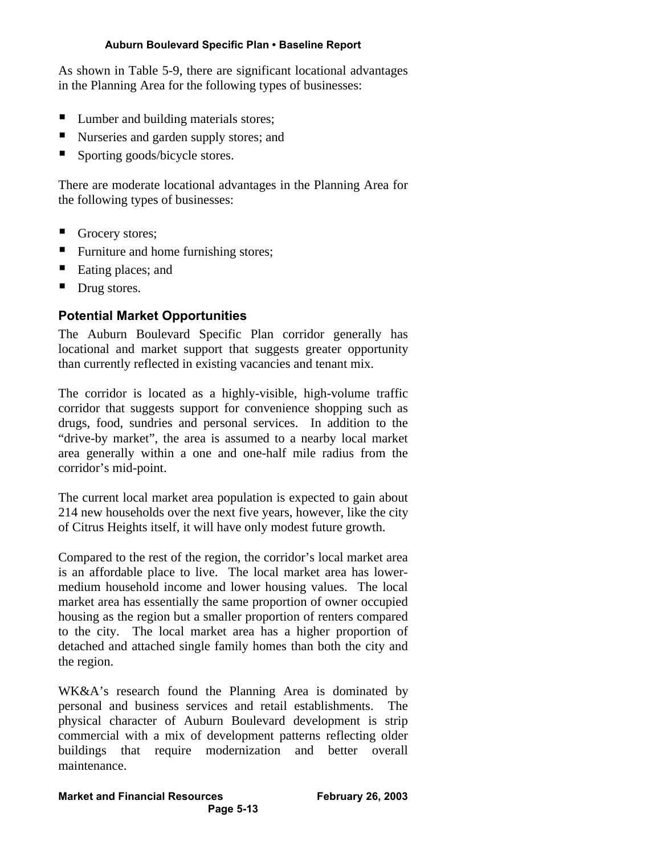As shown in Table 5-9, there are significant locational advantages in the Planning Area for the following types of businesses:

- Lumber and building materials stores;
- Nurseries and garden supply stores; and
- ß Sporting goods/bicycle stores.

There are moderate locational advantages in the Planning Area for the following types of businesses:

- Grocery stores;
- Furniture and home furnishing stores;
- Eating places; and
- Drug stores.

# **Potential Market Opportunities**

The Auburn Boulevard Specific Plan corridor generally has locational and market support that suggests greater opportunity than currently reflected in existing vacancies and tenant mix.

The corridor is located as a highly-visible, high-volume traffic corridor that suggests support for convenience shopping such as drugs, food, sundries and personal services. In addition to the "drive-by market", the area is assumed to a nearby local market area generally within a one and one-half mile radius from the corridor's mid-point.

The current local market area population is expected to gain about 214 new households over the next five years, however, like the city of Citrus Heights itself, it will have only modest future growth.

Compared to the rest of the region, the corridor's local market area is an affordable place to live. The local market area has lowermedium household income and lower housing values. The local market area has essentially the same proportion of owner occupied housing as the region but a smaller proportion of renters compared to the city. The local market area has a higher proportion of detached and attached single family homes than both the city and the region.

WK&A's research found the Planning Area is dominated by personal and business services and retail establishments. The physical character of Auburn Boulevard development is strip commercial with a mix of development patterns reflecting older buildings that require modernization and better overall maintenance.

# **Market and Financial Resources February 26, 2003**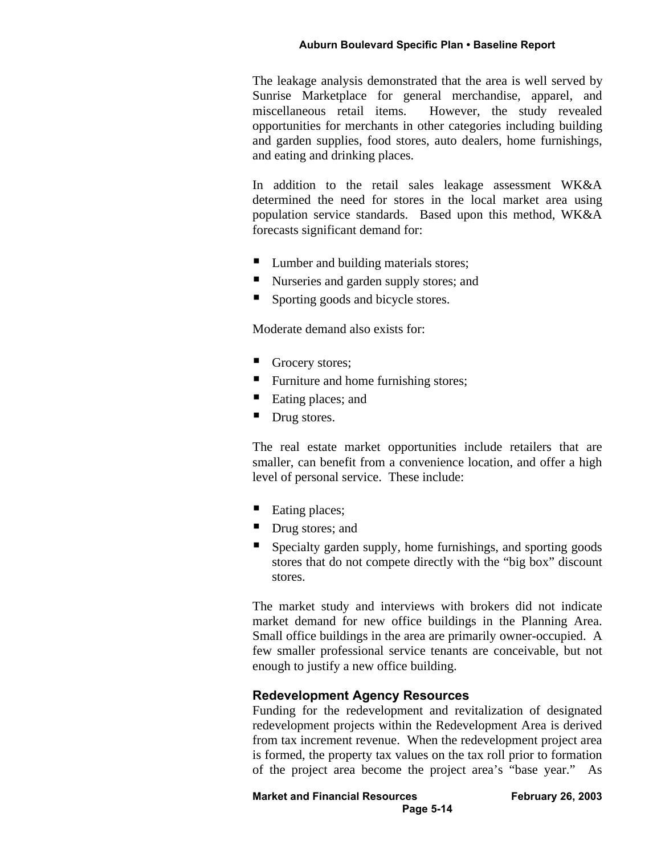The leakage analysis demonstrated that the area is well served by Sunrise Marketplace for general merchandise, apparel, and miscellaneous retail items. However, the study revealed opportunities for merchants in other categories including building and garden supplies, food stores, auto dealers, home furnishings, and eating and drinking places.

In addition to the retail sales leakage assessment WK&A determined the need for stores in the local market area using population service standards. Based upon this method, WK&A forecasts significant demand for:

- Lumber and building materials stores;
- ß Nurseries and garden supply stores; and
- ß Sporting goods and bicycle stores.

Moderate demand also exists for:

- Grocery stores;
- Furniture and home furnishing stores;
- Eating places; and
- Drug stores.

The real estate market opportunities include retailers that are smaller, can benefit from a convenience location, and offer a high level of personal service. These include:

- $\blacksquare$  Eating places;
- Drug stores; and
- ß Specialty garden supply, home furnishings, and sporting goods stores that do not compete directly with the "big box" discount stores.

The market study and interviews with brokers did not indicate market demand for new office buildings in the Planning Area. Small office buildings in the area are primarily owner-occupied. A few smaller professional service tenants are conceivable, but not enough to justify a new office building.

## **Redevelopment Agency Resources**

Funding for the redevelopment and revitalization of designated redevelopment projects within the Redevelopment Area is derived from tax increment revenue. When the redevelopment project area is formed, the property tax values on the tax roll prior to formation of the project area become the project area's "base year." As

**Market and Financial Resources February 26, 2003**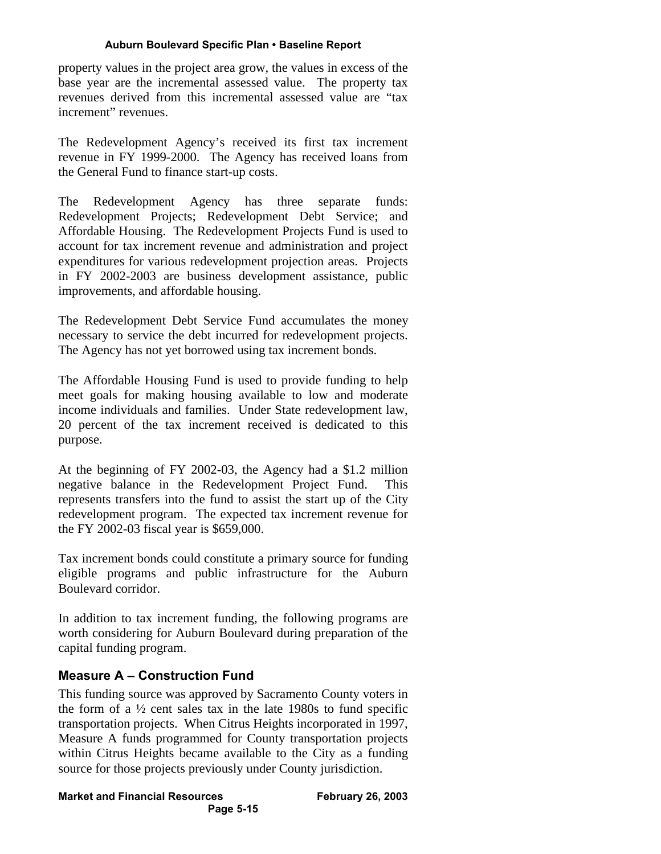property values in the project area grow, the values in excess of the base year are the incremental assessed value. The property tax revenues derived from this incremental assessed value are "tax increment" revenues.

The Redevelopment Agency's received its first tax increment revenue in FY 1999-2000. The Agency has received loans from the General Fund to finance start-up costs.

The Redevelopment Agency has three separate funds: Redevelopment Projects; Redevelopment Debt Service; and Affordable Housing. The Redevelopment Projects Fund is used to account for tax increment revenue and administration and project expenditures for various redevelopment projection areas. Projects in FY 2002-2003 are business development assistance, public improvements, and affordable housing.

The Redevelopment Debt Service Fund accumulates the money necessary to service the debt incurred for redevelopment projects. The Agency has not yet borrowed using tax increment bonds.

The Affordable Housing Fund is used to provide funding to help meet goals for making housing available to low and moderate income individuals and families. Under State redevelopment law, 20 percent of the tax increment received is dedicated to this purpose.

At the beginning of FY 2002-03, the Agency had a \$1.2 million negative balance in the Redevelopment Project Fund. This represents transfers into the fund to assist the start up of the City redevelopment program. The expected tax increment revenue for the FY 2002-03 fiscal year is \$659,000.

Tax increment bonds could constitute a primary source for funding eligible programs and public infrastructure for the Auburn Boulevard corridor.

In addition to tax increment funding, the following programs are worth considering for Auburn Boulevard during preparation of the capital funding program.

# **Measure A – Construction Fund**

This funding source was approved by Sacramento County voters in the form of a  $\frac{1}{2}$  cent sales tax in the late 1980s to fund specific transportation projects. When Citrus Heights incorporated in 1997, Measure A funds programmed for County transportation projects within Citrus Heights became available to the City as a funding source for those projects previously under County jurisdiction.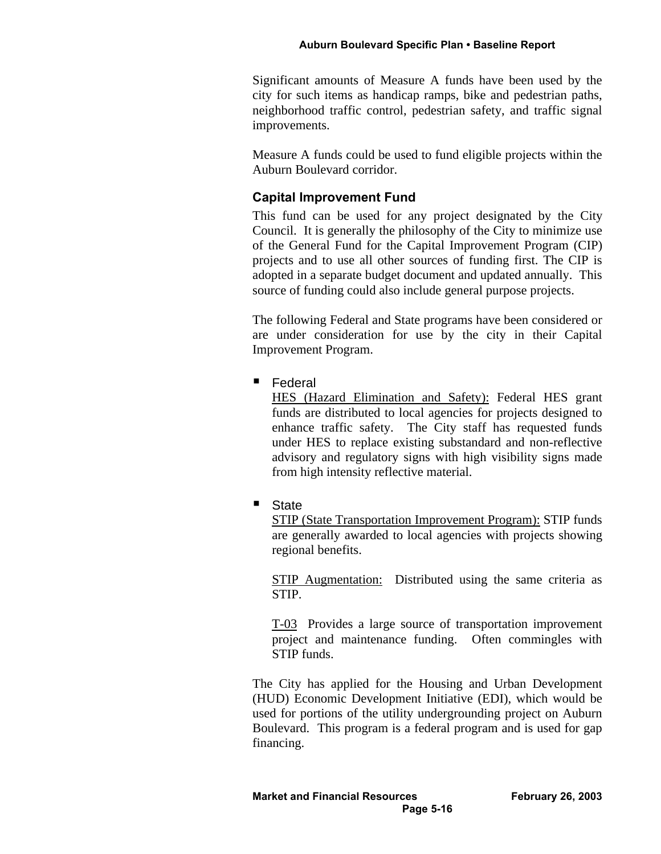Significant amounts of Measure A funds have been used by the city for such items as handicap ramps, bike and pedestrian paths, neighborhood traffic control, pedestrian safety, and traffic signal improvements.

Measure A funds could be used to fund eligible projects within the Auburn Boulevard corridor.

## **Capital Improvement Fund**

This fund can be used for any project designated by the City Council. It is generally the philosophy of the City to minimize use of the General Fund for the Capital Improvement Program (CIP) projects and to use all other sources of funding first. The CIP is adopted in a separate budget document and updated annually. This source of funding could also include general purpose projects.

The following Federal and State programs have been considered or are under consideration for use by the city in their Capital Improvement Program.

## **Federal**

HES (Hazard Elimination and Safety): Federal HES grant funds are distributed to local agencies for projects designed to enhance traffic safety. The City staff has requested funds under HES to replace existing substandard and non-reflective advisory and regulatory signs with high visibility signs made from high intensity reflective material.

■ State

STIP (State Transportation Improvement Program): STIP funds are generally awarded to local agencies with projects showing regional benefits.

STIP Augmentation: Distributed using the same criteria as STIP.

T-03 Provides a large source of transportation improvement project and maintenance funding. Often commingles with STIP funds.

The City has applied for the Housing and Urban Development (HUD) Economic Development Initiative (EDI), which would be used for portions of the utility undergrounding project on Auburn Boulevard. This program is a federal program and is used for gap financing.